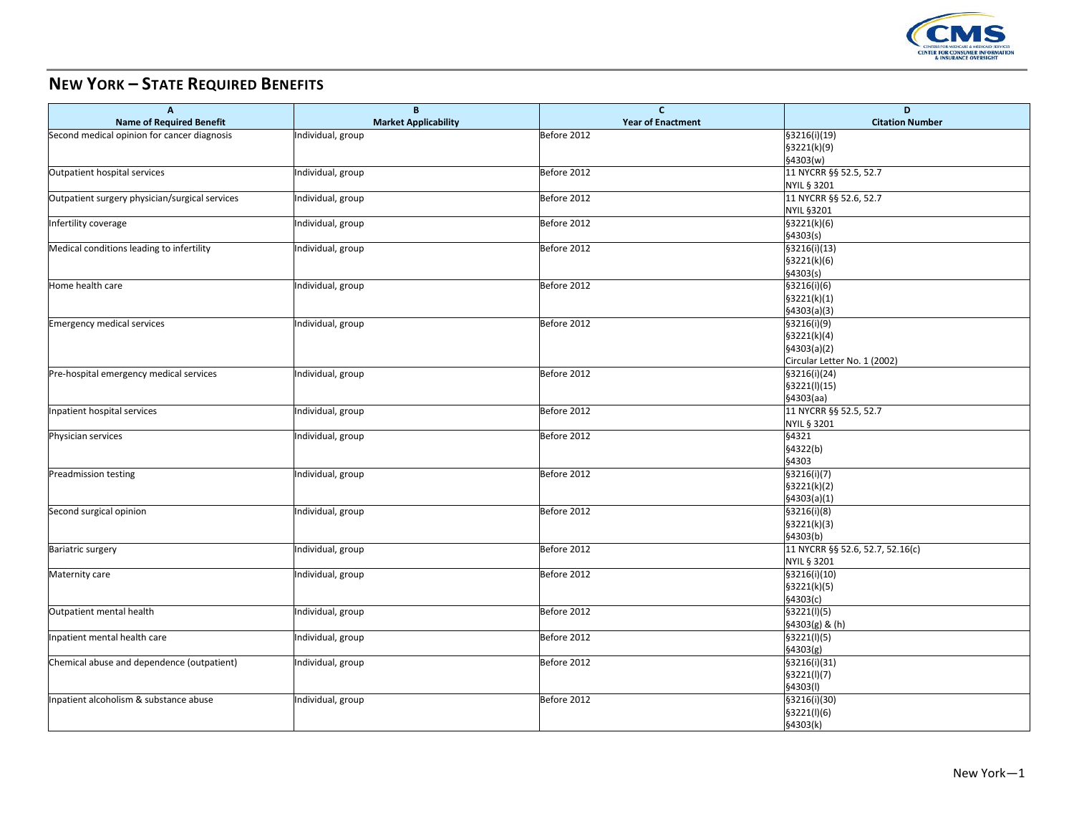

## **NEW YORK – STATE REQUIRED BENEFITS**

| $\overline{A}$                                 | B                           | $\mathbf{C}$             | D                                            |
|------------------------------------------------|-----------------------------|--------------------------|----------------------------------------------|
| <b>Name of Required Benefit</b>                | <b>Market Applicability</b> | <b>Year of Enactment</b> | <b>Citation Number</b>                       |
| Second medical opinion for cancer diagnosis    | Individual, group           | Before 2012              | §3216(i)(19)                                 |
|                                                |                             |                          | §3221(k)(9)                                  |
|                                                |                             |                          | §4303(w)                                     |
| Outpatient hospital services                   | Individual, group           | Before 2012              | 11 NYCRR §§ 52.5, 52.7                       |
|                                                |                             |                          | NYIL § 3201                                  |
| Outpatient surgery physician/surgical services | Individual, group           | Before 2012              | 11 NYCRR §§ 52.6, 52.7                       |
|                                                |                             |                          | <b>NYIL §3201</b>                            |
| Infertility coverage                           | Individual, group           | Before 2012              | §3221(k)(6)                                  |
|                                                |                             |                          | §4303(s)                                     |
| Medical conditions leading to infertility      | Individual, group           | Before 2012              | §3216(i)(13)                                 |
|                                                |                             |                          | §3221(k)(6)                                  |
|                                                |                             |                          | §4303(s)                                     |
| Home health care                               | Individual, group           | Before 2012              | §3216(i)(6)                                  |
|                                                |                             |                          | §3221(k)(1)                                  |
|                                                |                             |                          | \$4303(a)(3)                                 |
| Emergency medical services                     | Individual, group           | Before 2012              | §3216(i)(9)                                  |
|                                                |                             |                          | §3221(k)(4)                                  |
|                                                |                             |                          | \$4303(a)(2)<br>Circular Letter No. 1 (2002) |
|                                                |                             |                          |                                              |
| Pre-hospital emergency medical services        | Individual, group           | Before 2012              | §3216(i)(24)                                 |
|                                                |                             |                          | §3221(l)(15)                                 |
|                                                |                             |                          | §4303(aa)<br>11 NYCRR §§ 52.5, 52.7          |
| Inpatient hospital services                    | Individual, group           | Before 2012              | NYIL § 3201                                  |
| Physician services                             |                             | Before 2012              | §4321                                        |
|                                                | Individual, group           |                          | §4322(b)                                     |
|                                                |                             |                          | §4303                                        |
| Preadmission testing                           | Individual, group           | Before 2012              | \$3216(i)(7)                                 |
|                                                |                             |                          | \$3221(k)(2)                                 |
|                                                |                             |                          | \$4303(a)(1)                                 |
| Second surgical opinion                        | Individual, group           | Before 2012              | §3216(i)(8)                                  |
|                                                |                             |                          | §3221(k)(3)                                  |
|                                                |                             |                          | §4303(b)                                     |
| <b>Bariatric surgery</b>                       | Individual, group           | Before 2012              | 11 NYCRR §§ 52.6, 52.7, 52.16(c)             |
|                                                |                             |                          | NYIL § 3201                                  |
| Maternity care                                 | Individual, group           | Before 2012              | §3216(i)(10)                                 |
|                                                |                             |                          | §3221(k)(5)                                  |
|                                                |                             |                          | \$4303(c)                                    |
| Outpatient mental health                       | Individual, group           | Before 2012              | \$3221(I)(5)                                 |
|                                                |                             |                          | §4303(g) & (h)                               |
| Inpatient mental health care                   | Individual, group           | Before 2012              | §3221(l)(5)                                  |
|                                                |                             |                          | §4303(g)                                     |
| Chemical abuse and dependence (outpatient)     | Individual, group           | Before 2012              | §3216(i)(31)                                 |
|                                                |                             |                          | §3221(l)(7)                                  |
|                                                |                             |                          | §4303(I)                                     |
| Inpatient alcoholism & substance abuse         | Individual, group           | Before 2012              | §3216(i)(30)                                 |
|                                                |                             |                          | §3221(l)(6)                                  |
|                                                |                             |                          | §4303(k)                                     |
|                                                |                             |                          |                                              |